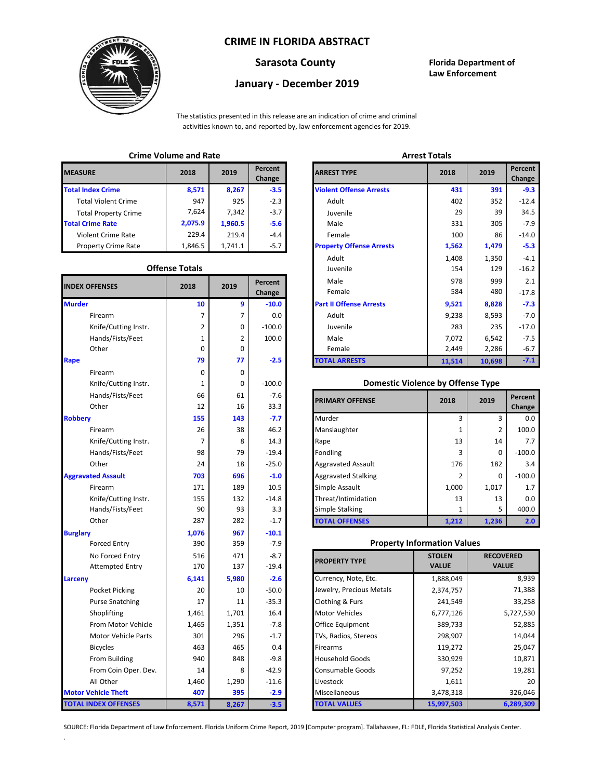## **CRIME IN FLORIDA ABSTRACT**



# **January - December 2019**

**Sarasota County Florida Department of Law Enforcement**

The statistics presented in this release are an indication of crime and criminal activities known to, and reported by, law enforcement agencies for 2019.

## **Crime Volume and Rate Arrest Totals**

| <b>MEASURE</b>              | 2018    | 2019    | Percent<br>Change | <b>ARREST TYPE</b>             |
|-----------------------------|---------|---------|-------------------|--------------------------------|
| <b>Total Index Crime</b>    | 8,571   | 8,267   | $-3.5$            | <b>Violent Offense Arrests</b> |
| <b>Total Violent Crime</b>  | 947     | 925     | $-2.3$            | Adult                          |
| <b>Total Property Crime</b> | 7.624   | 7,342   | $-3.7$            | Juvenile                       |
| <b>Total Crime Rate</b>     | 2,075.9 | 1,960.5 | $-5.6$            | Male                           |
| Violent Crime Rate          | 229.4   | 219.4   | $-4.4$            | Female                         |
| <b>Property Crime Rate</b>  | 1,846.5 | 1,741.1 | $-5.7$            | <b>Property Offense Arrest</b> |

#### **Offense Totals**

| <b>INDEX OFFENSES</b>       | 2018  | 2019  | Percent<br>Change | Male<br>Female                           | 978<br>584    | 999<br>480       |           |
|-----------------------------|-------|-------|-------------------|------------------------------------------|---------------|------------------|-----------|
| <b>Murder</b>               | 10    | 9     | $-10.0$           | <b>Part II Offense Arrests</b>           | 9,521         | 8,828            | $-7.3$    |
| Firearm                     | 7     | 7     | 0.0               | Adult                                    | 9,238         | 8,593            | $-7.0$    |
| Knife/Cutting Instr.        | 2     | 0     | $-100.0$          | Juvenile                                 | 283           | 235              | $-17.0$   |
| Hands/Fists/Feet            | 1     | 2     | 100.0             | Male                                     | 7,072         | 6,542            | $-7.5$    |
| Other                       | 0     | 0     |                   | Female                                   | 2,449         | 2,286            | $-6.7$    |
| Rape                        | 79    | 77    | $-2.5$            | <b>TOTAL ARRESTS</b>                     | 11,514        | 10,698           | $-7.1$    |
| Firearm                     | 0     | 0     |                   |                                          |               |                  |           |
| Knife/Cutting Instr.        | 1     | 0     | $-100.0$          | <b>Domestic Violence by Offense Type</b> |               |                  |           |
| Hands/Fists/Feet            | 66    | 61    | $-7.6$            | <b>PRIMARY OFFENSE</b>                   | 2018          | 2019             | Percent   |
| Other                       | 12    | 16    | 33.3              |                                          |               |                  | Change    |
| <b>Robberv</b>              | 155   | 143   | $-7.7$            | Murder                                   | 3             | 3                | 0.0       |
| Firearm                     | 26    | 38    | 46.2              | Manslaughter                             | 1             | $\overline{2}$   | 100.0     |
| Knife/Cutting Instr.        | 7     | 8     | 14.3              | Rape                                     | 13            | 14               | 7.7       |
| Hands/Fists/Feet            | 98    | 79    | $-19.4$           | Fondling                                 | 3             | $\Omega$         | $-100.0$  |
| Other                       | 24    | 18    | $-25.0$           | <b>Aggravated Assault</b>                | 176           | 182              | 3.4       |
| <b>Aggravated Assault</b>   | 703   | 696   | $-1.0$            | <b>Aggravated Stalking</b>               | 2             | $\Omega$         | $-100.0$  |
| Firearm                     | 171   | 189   | 10.5              | Simple Assault                           | 1,000         | 1,017            | 1.7       |
| Knife/Cutting Instr.        | 155   | 132   | $-14.8$           | Threat/Intimidation                      | 13            | 13               | 0.0       |
| Hands/Fists/Feet            | 90    | 93    | 3.3               | <b>Simple Stalking</b>                   | 1             | 5                | 400.0     |
| Other                       | 287   | 282   | $-1.7$            | <b>TOTAL OFFENSES</b>                    | 1,212         | 1,236            | 2.0       |
| <b>Burglary</b>             | 1,076 | 967   | $-10.1$           |                                          |               |                  |           |
| <b>Forced Entry</b>         | 390   | 359   | $-7.9$            | <b>Property Information Values</b>       |               |                  |           |
| No Forced Entry             | 516   | 471   | $-8.7$            | <b>PROPERTY TYPE</b>                     | <b>STOLEN</b> | <b>RECOVERED</b> |           |
| <b>Attempted Entry</b>      | 170   | 137   | $-19.4$           |                                          | <b>VALUE</b>  | <b>VALUE</b>     |           |
| Larceny                     | 6,141 | 5,980 | $-2.6$            | Currency, Note, Etc.                     | 1,888,049     |                  | 8,939     |
| Pocket Picking              | 20    | 10    | $-50.0$           | Jewelry, Precious Metals                 | 2,374,757     |                  | 71,388    |
| <b>Purse Snatching</b>      | 17    | 11    | $-35.3$           | Clothing & Furs                          | 241,549       |                  | 33,258    |
| Shoplifting                 | 1,461 | 1,701 | 16.4              | <b>Motor Vehicles</b>                    | 6,777,126     |                  | 5,727,530 |
| From Motor Vehicle          | 1,465 | 1,351 | $-7.8$            | Office Equipment                         | 389,733       |                  | 52,885    |
| Motor Vehicle Parts         | 301   | 296   | $-1.7$            | TVs, Radios, Stereos                     | 298,907       |                  | 14,044    |
| <b>Bicycles</b>             | 463   | 465   | 0.4               | Firearms                                 | 119,272       |                  | 25,047    |
| From Building               | 940   | 848   | $-9.8$            | <b>Household Goods</b>                   | 330,929       |                  | 10,871    |
| From Coin Oper. Dev.        | 14    | 8     | $-42.9$           | Consumable Goods                         | 97,252        |                  | 19,281    |
| All Other                   | 1,460 | 1,290 | $-11.6$           | Livestock                                | 1,611         |                  | 20        |
| <b>Motor Vehicle Theft</b>  | 407   | 395   | $-2.9$            | Miscellaneous                            | 3,478,318     |                  | 326,046   |
| <b>TOTAL INDEX OFFENSES</b> | 8,571 | 8,267 | $-3.5$            | <b>TOTAL VALUES</b>                      | 15,997,503    |                  | 6,289,309 |

.

| CHING VUIUNG ANU NALC |                       |         |                   | AN ESL TULAIS                   |        |        |                   |  |
|-----------------------|-----------------------|---------|-------------------|---------------------------------|--------|--------|-------------------|--|
| RΕ                    | 2018                  | 2019    | Percent<br>Change | <b>ARREST TYPE</b>              | 2018   | 2019   | Percent<br>Change |  |
| dex Crime             | 8,571                 | 8,267   | $-3.5$            | <b>Violent Offense Arrests</b>  | 431    | 391    | $-9.3$            |  |
| Il Violent Crime      | 947                   | 925     | $-2.3$            | Adult                           | 402    | 352    | $-12.4$           |  |
| Il Property Crime     | 7,624                 | 7,342   | $-3.7$            | Juvenile                        | 29     | 39     | 34.5              |  |
| me Rate               | 2,075.9               | 1,960.5 | $-5.6$            | Male                            | 331    | 305    | $-7.9$            |  |
| ent Crime Rate        | 229.4                 | 219.4   | $-4.4$            | Female                          | 100    | 86     | $-14.0$           |  |
| erty Crime Rate       | 1,846.5               | 1,741.1 | $-5.7$            | <b>Property Offense Arrests</b> | 1,562  | 1,479  | $-5.3$            |  |
|                       |                       |         |                   | Adult                           | 1,408  | 1,350  | $-4.1$            |  |
|                       | <b>Offense Totals</b> |         |                   | Juvenile                        | 154    | 129    | $-16.2$           |  |
| <b>FFENSES</b>        | 2018                  | 2019    | Percent           | Male                            | 978    | 999    | 2.1               |  |
|                       |                       |         | Change            | Female                          | 584    | 480    | $-17.8$           |  |
|                       | 10                    | 9       | $-10.0$           | <b>Part II Offense Arrests</b>  | 9,521  | 8,828  | $-7.3$            |  |
| Firearm               | 7                     |         | 0.0               | Adult                           | 9,238  | 8,593  | $-7.0$            |  |
| Knife/Cutting Instr.  | 2                     | 0       | $-100.0$          | Juvenile                        | 283    | 235    | $-17.0$           |  |
| Hands/Fists/Feet      | 1                     | 2       | 100.0             | Male                            | 7,072  | 6,542  | $-7.5$            |  |
| Other                 | 0                     | 0       |                   | Female                          | 2,449  | 2,286  | $-6.7$            |  |
|                       | 79                    | 77      | $-2.5$            | <b>TOTAL ARRESTS</b>            | 11,514 | 10,698 | $-7.1$            |  |
|                       |                       |         |                   |                                 |        |        |                   |  |

### 1 **Domestic Violence by Offense Type**

| Hands/Fists/Feet<br>Other | 66<br>12 | 61<br>16 | $-7.6$<br>33.3 | <b>PRIMARY OFFENSE</b>     | 2018  | 2019  | Percent<br>Change |
|---------------------------|----------|----------|----------------|----------------------------|-------|-------|-------------------|
|                           | 155      | 143      | $-7.7$         | Murder                     |       | 3     | 0.0               |
| Firearm                   | 26       | 38       | 46.2           | Manslaughter               |       | 2     | 100.0             |
| Knife/Cutting Instr.      |          | 8        | 14.3           | Rape                       | 13    | 14    | 7.7               |
| Hands/Fists/Feet          | 98       | 79       | $-19.4$        | Fondling                   |       | 0     | $-100.0$          |
| Other                     | 24       | 18       | $-25.0$        | <b>Aggravated Assault</b>  | 176   | 182   | 3.4               |
| ted Assault               | 703      | 696      | $-1.0$         | <b>Aggravated Stalking</b> |       | 0     | $-100.0$          |
| Firearm                   | 171      | 189      | 10.5           | Simple Assault             | 1,000 | 1,017 | 1.7               |
| Knife/Cutting Instr.      | 155      | 132      | $-14.8$        | Threat/Intimidation        | 13    | 13    | 0.0               |
| Hands/Fists/Feet          | 90       | 93       | 3.3            | <b>Simple Stalking</b>     |       |       | 400.0             |
| Other                     | 287      | 282      | $-1.7$         | <b>TOTAL OFFENSES</b>      | 1,212 | 1,236 | 2.0               |

### **Property Information Values**

| 516   | 471   | $-8.7$  | <b>PROPERTY TYPE</b>     | <b>STOLEN</b> | <b>RECOVERED</b> |
|-------|-------|---------|--------------------------|---------------|------------------|
| 170   | 137   | $-19.4$ |                          | <b>VALUE</b>  | <b>VALUE</b>     |
| 6,141 | 5,980 | $-2.6$  | Currency, Note, Etc.     | 1,888,049     | 8,939            |
| 20    | 10    | $-50.0$ | Jewelry, Precious Metals | 2,374,757     | 71,388           |
| 17    | 11    | $-35.3$ | Clothing & Furs          | 241,549       | 33,258           |
| 1,461 | 1,701 | 16.4    | <b>Motor Vehicles</b>    | 6,777,126     | 5,727,530        |
| 1,465 | 1,351 | $-7.8$  | <b>Office Equipment</b>  | 389,733       | 52,885           |
| 301   | 296   | $-1.7$  | TVs, Radios, Stereos     | 298,907       | 14,044           |
| 463   | 465   | 0.4     | <b>Firearms</b>          | 119,272       | 25,047           |
| 940   | 848   | $-9.8$  | <b>Household Goods</b>   | 330,929       | 10,871           |
| 14    | 8     | $-42.9$ | <b>Consumable Goods</b>  | 97,252        | 19,281           |
| 1,460 | 1,290 | $-11.6$ | Livestock                | 1,611         | 20               |
| 407   | 395   | $-2.9$  | <b>Miscellaneous</b>     | 3,478,318     | 326,046          |
| 8,571 | 8,267 | $-3.5$  | <b>TOTAL VALUES</b>      | 15,997,503    | 6,289,309        |

SOURCE: Florida Department of Law Enforcement. Florida Uniform Crime Report, 2019 [Computer program]. Tallahassee, FL: FDLE, Florida Statistical Analysis Center.